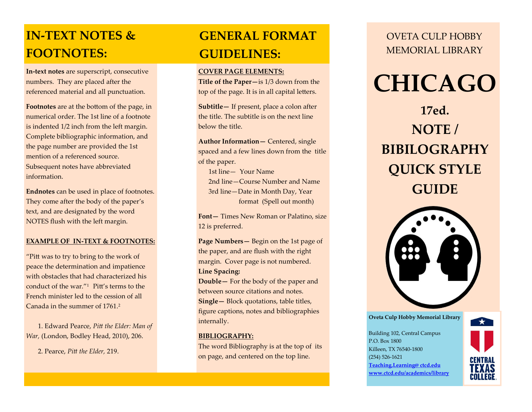### **IN-TEXT NOTES & FOOTNOTES:**

**In-text notes** are superscript, consecutive numbers. They are placed after the referenced material and all punctuation.

**Footnotes** are at the bottom of the page, in numerical order. The 1st line of a footnote is indented 1/2 inch from the left margin. Complete bibliographic information, and the page number are provided the 1st mention of a referenced source. Subsequent notes have abbreviated information.

**Endnotes** can be used in place of footnotes. They come after the body of the paper's text, and are designated by the word NOTES flush with the left margin.

#### **EXAMPLE OF IN-TEXT & FOOTNOTES:**

"Pitt was to try to bring to the work of peace the determination and impatience with obstacles that had characterized his conduct of the war. $^{\prime\prime}$ <sup>1</sup> Pitt's terms to the French minister led to the cession of all Canada in the summer of 1761<sup>2</sup>

 1. Edward Pearce, *Pitt the Elder: Man of War,* (London, Bodley Head, 2010), 206.

2. Pearce, *Pitt the Elder,* 219.

### **GENERAL FORMAT GUIDELINES:**

#### **COVER PAGE ELEMENTS:**

**Title of the Paper—**is 1/3 down from the top of the page. It is in all capital letters.

**Subtitle—** If present, place a colon after the title. The subtitle is on the next line below the title.

**Author Information—** Centered, single spaced and a few lines down from the title of the paper.

 1st line— Your Name 2nd line—Course Number and Name 3rd line—Date in Month Day, Year format (Spell out month)

**Font—** Times New Roman or Palatino, size 12 is preferred.

**Page Numbers—** Begin on the 1st page of the paper, and are flush with the right margin. Cover page is not numbered. **Line Spacing:** 

**Double—** For the body of the paper and between source citations and notes. **Single—** Block quotations, table titles, figure captions, notes and bibliographies internally.

#### **BIBLIOGRAPHY:**

The word Bibliography is at the top of its on page, and centered on the top line.

OVETA CULP HOBBY MEMORIAL LIBRARY

## **CHICAGO**

**17ed. NOTE / BIBILOGRAPHY QUICK STYLE GUIDE**



**Oveta Culp Hobby Memorial Library** Building 102, Central Campus P.O. Box 1800 Killeen, TX 76540-1800 (254) 526-1621 **[Teaching.Learning@ ctcd.edu](mailto:Teaching.Learning@ctcd.edu) [www.ctcd.edu/academics/library](http://www.ctcd.edu/academics/library)**